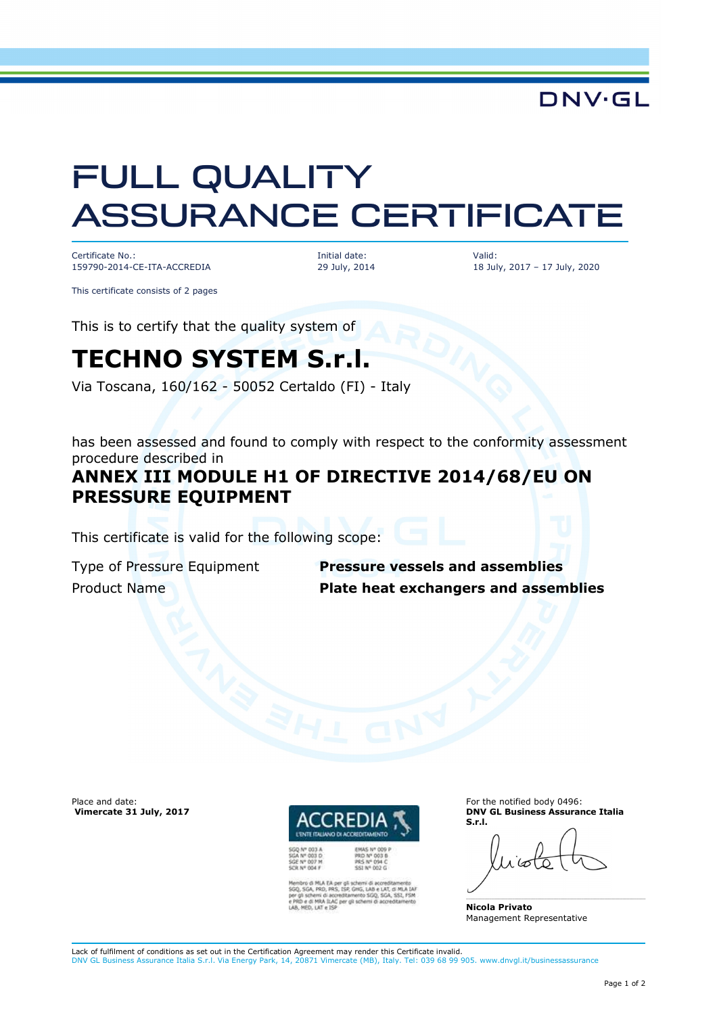**DNV·GL** 

# FULL QUALITY ASSURANCE CERTIFICATE

Certificate No.: 159790-2014-CE-ITA-ACCREDIA Initial date: 29 July, 2014 Valid: 18 July, 2017 – 17 July, 2020

This certificate consists of 2 pages

This is to certify that the quality system of

## **TECHNO SYSTEM S.r.l.**

Via Toscana, 160/162 - 50052 Certaldo (FI) - Italy

has been assessed and found to comply with respect to the conformity assessment procedure described in

### **ANNEX III MODULE H1 OF DIRECTIVE 2014/68/EU ON PRESSURE EQUIPMENT**

This certificate is valid for the following scope:

Type of Pressure Equipment **Pressure vessels and assemblies** Product Name **Plate heat exchangers and assemblies**

Place and date:  **Vimercate 31 July, 2017**



per gli schemi di accreditamento<br>IS, ISP, GHG, LAB e LAT, di MLA I<br>screditamento SGQ, SGA, SSI, FS<br>IC per gli schemi di accreditamen RA ILAC per

**PRS Nº 094 C** 

For the notified body 0496: **DNV GL Business Assurance Italia S.r.l.** 

**Nicola Privato**  Management Representative

Lack of fulfilment of conditions as set out in the Certification Agreement may render this Certificate invalid. DNV GL Business Assurance Italia S.r.l. Via Energy Park, 14, 20871 Vimercate (MB), Italy. Tel: 039 68 99 905. www.dnvgl.it/businessassurance